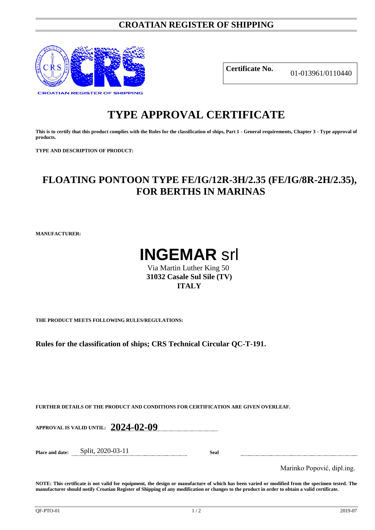### **CROATIAN REGISTER OF SHIPPING**



**Certificate No.** 01-013961/0110440

# **TYPE APPROVAL CERTIFICATE**

**This is to certify that this product complies with the Rules for the classification of ships, Part 1 - General requirements, Chapter 3 - Type approval of products.**

**TYPE AND DESCRIPTION OF PRODUCT:** 

## **FLOATING PONTOON TYPE FE/IG/12R-3H/2.35 (FE/IG/8R-2H/2.35), FOR BERTHS IN MARINAS**

**MANUFACTURER:**



Via Martin Luther King 50 **31032 Casale Sul Sile (TV) ITALY**

**THE PRODUCT MEETS FOLLOWING RULES/REGULATIONS:**

**Rules for the classification of ships; CRS Technical Circular QC-T-191.**

**FURTHER DETAILS OF THE PRODUCT AND CONDITIONS FOR CERTIFICATION ARE GIVEN OVERLEAF.**

**APPROVAL IS VALID UNTIL: 2024-02-09**

**Place and date:** Split, 2020-03-11 **Seal**

Marinko Popović, dipl.ing.

**NOTE: This certificate is not valid for equipment, the design or manufacture of which has been varied or modified from the specimen tested. The manufacturer should notify Croatian Register of Shipping of any modification or changes to the product in order to obtain a valid certificate.**